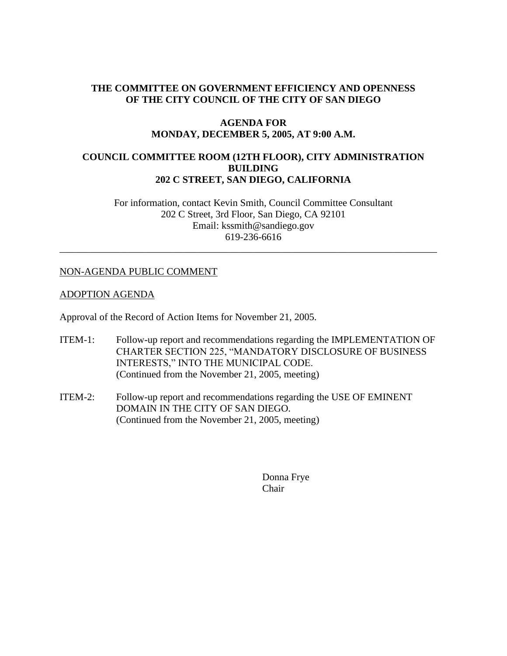# **THE COMMITTEE ON GOVERNMENT EFFICIENCY AND OPENNESS OF THE CITY COUNCIL OF THE CITY OF SAN DIEGO**

## **AGENDA FOR MONDAY, DECEMBER 5, 2005, AT 9:00 A.M.**

## **COUNCIL COMMITTEE ROOM (12TH FLOOR), CITY ADMINISTRATION BUILDING 202 C STREET, SAN DIEGO, CALIFORNIA**

For information, contact Kevin Smith, Council Committee Consultant 202 C Street, 3rd Floor, San Diego, CA 92101 Email: kssmith@sandiego.gov 619-236-6616

\_\_\_\_\_\_\_\_\_\_\_\_\_\_\_\_\_\_\_\_\_\_\_\_\_\_\_\_\_\_\_\_\_\_\_\_\_\_\_\_\_\_\_\_\_\_\_\_\_\_\_\_\_\_\_\_\_\_\_\_\_\_\_\_\_\_\_\_\_\_\_\_\_\_\_\_

# NON-AGENDA PUBLIC COMMENT

## ADOPTION AGENDA

Approval of the Record of Action Items for November 21, 2005.

- ITEM-1: Follow-up report and recommendations regarding the IMPLEMENTATION OF CHARTER SECTION 225, "MANDATORY DISCLOSURE OF BUSINESS INTERESTS," INTO THE MUNICIPAL CODE. (Continued from the November 21, 2005, meeting)
- ITEM-2: Follow-up report and recommendations regarding the USE OF EMINENT DOMAIN IN THE CITY OF SAN DIEGO. (Continued from the November 21, 2005, meeting)

Donna Frye Chair